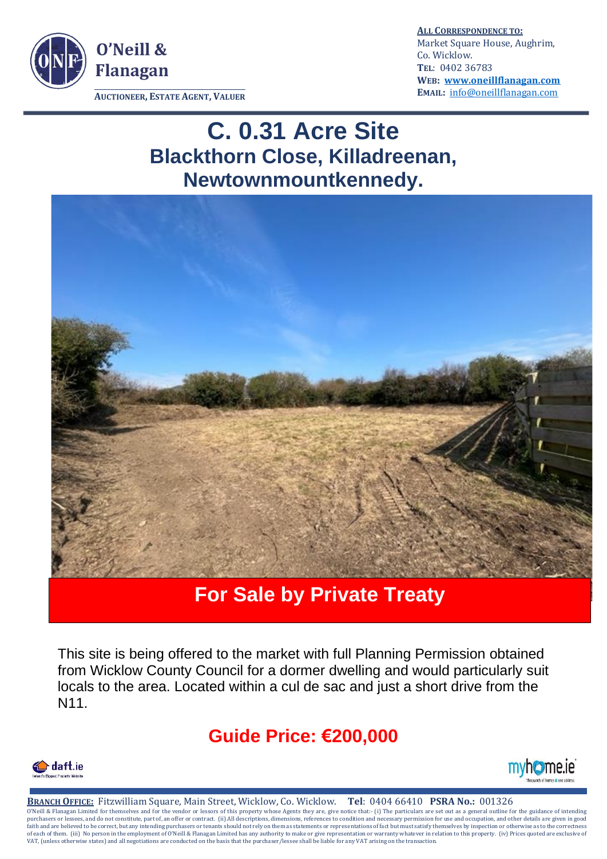

**ALL CORRESPONDENCE TO:** Market Square House, Aughrim, Co. Wicklow. **TEL**: 0402 36783 **WEB: [www.oneillflanagan.com](http://www.oneillflanagan.com/) EMAIL:** [info@oneillflanagan.com](mailto:info@oneillflanagan.com) 

 **AUCTIONEER, ESTATE AGENT, VALUER**

# **C. 0.31 Acre Site Blackthorn Close, Killadreenan, Newtownmountkennedy.**



## **For Sale by Private Treaty**

This site is being offered to the market with full Planning Permission obtained from Wicklow County Council for a dormer dwelling and would particularly suit locals to the area. Located within a cul de sac and just a short drive from the N11.

## **Guide Price: €200,000**





**BRANCH OFFICE:** Fitzwilliam Square, Main Street, Wicklow, Co. Wicklow. **Tel**: 0404 66410 **PSRA No.:** 001326 O'Neill & Flanagan Limited for themselves and for the vendor or lessors of this property whose Agents they are, give notice that:- (i) The particulars are set out as a general outline for the guidance of intending<br>purchase faith and are believed to be correct, but any intending purchasers or tenants should not rely on them as statements or representations of fact but must satisfy themselves by inspection or otherwise as to the correctness<br>of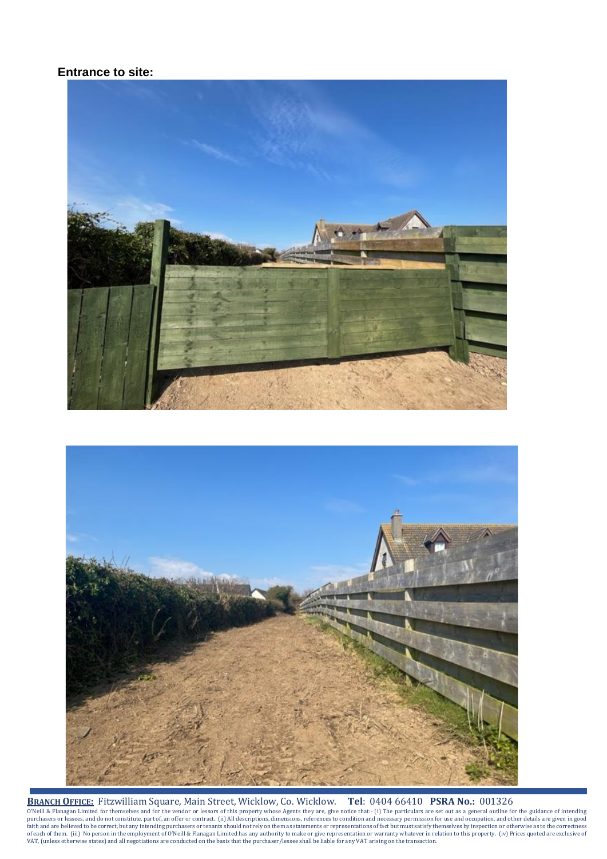#### **Entrance to site:**





**BRANCH OFFICE:** Fitzwilliam Square, Main Street, Wicklow, Co. Wicklow. **Tel**: 0404 66410 **PSRA No.:** 001326 O'Neill & Flanagan Limited for themselves and for the vendor or lessors of this property whose Agents they are, give notice that:- (i) The particulars are set out as a general outline for the guidance of intending purchase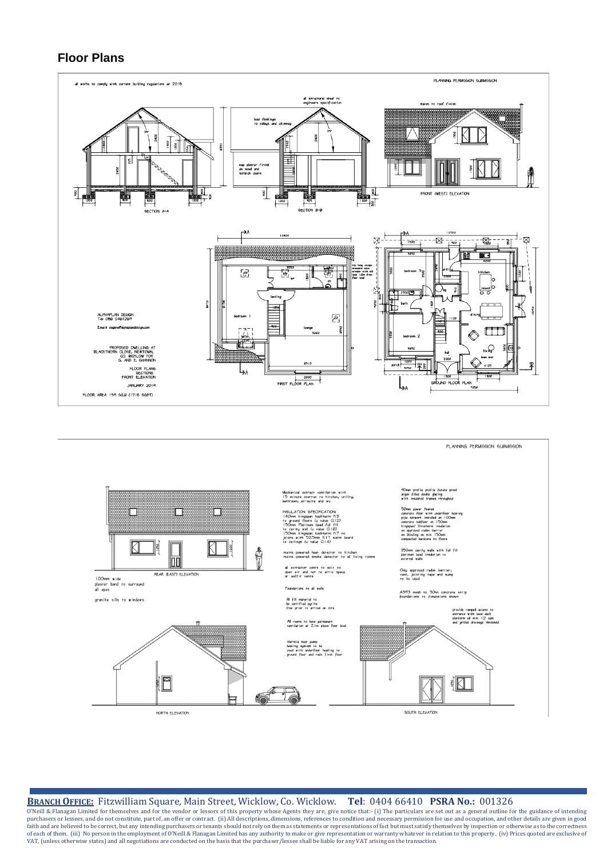#### **Floor Plans**



PI ANNING PERMAGION SUBMASSION



NORTH ELEVATION

SOUTH ELEVATION

#### **BRANCH OFFICE:** Fitzwilliam Square, Main Street, Wicklow, Co. Wicklow. **Tel**: 0404 66410 **PSRA No.:** 001326

O'Neill & Flanagan Limited for themselves and for the vendor or lessors of this property whose Agents they are, give notice that:- (i) The particulars are set out as a general outline for the guidance of intending purchase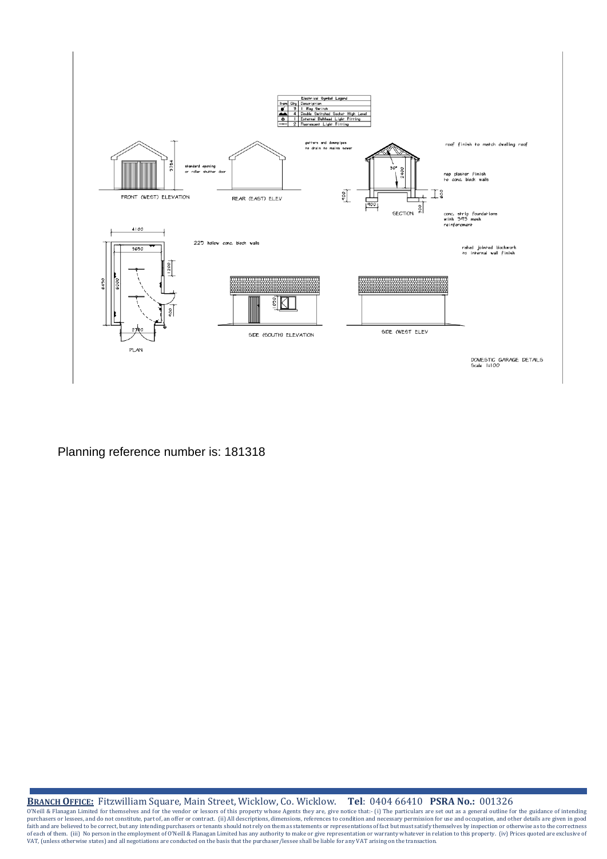

#### Planning reference number is: 181318

**BRANCH OFFICE:** Fitzwilliam Square, Main Street, Wicklow, Co. Wicklow. **Tel**: 0404 66410 **PSRA No.:** 001326

O'Neill & Flanagan Limited for themselves and for the vendor or lessors of this property whose Agents they are, give notice that:- (i) The particulars are set out as a general outline for the guidance of intending purchase